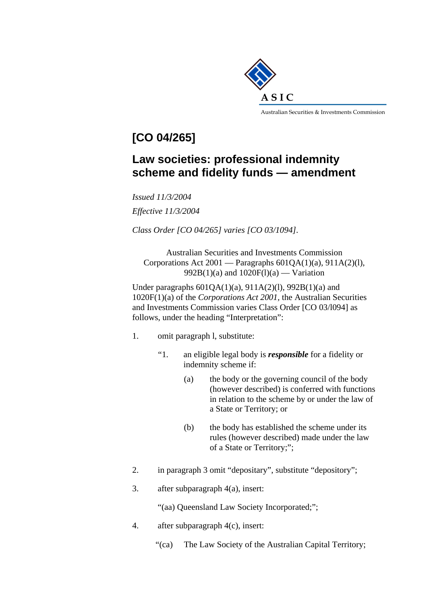

## **[CO 04/265]**

## **Law societies: professional indemnity scheme and fidelity funds — amendment**

*Issued 11/3/2004 Effective 11/3/2004* 

*Class Order [CO 04/265] varies [CO 03/1094].* 

Australian Securities and Investments Commission Corporations Act  $2001$  — Paragraphs  $601OA(1)(a)$ ,  $911A(2)(1)$ , 992B(1)(a) and  $1020F(1)(a)$  — Variation

Under paragraphs  $601QA(1)(a)$ ,  $911A(2)(1)$ ,  $992B(1)(a)$  and 1020F(1)(a) of the *Corporations Act 2001,* the Australian Securities and Investments Commission varies Class Order [CO 03/l094] as follows, under the heading "Interpretation":

- 1. omit paragraph l, substitute:
	- "1. an eligible legal body is *responsible* for a fidelity or indemnity scheme if:
		- (a) the body or the governing council of the body (however described) is conferred with functions in relation to the scheme by or under the law of a State or Territory; or
		- (b) the body has established the scheme under its rules (however described) made under the law of a State or Territory;";
- 2. in paragraph 3 omit "depositary", substitute "depository";
- 3. after subparagraph 4(a), insert:

"(aa) Queensland Law Society Incorporated;";

- 4. after subparagraph 4(c), insert:
	- "(ca) The Law Society of the Australian Capital Territory;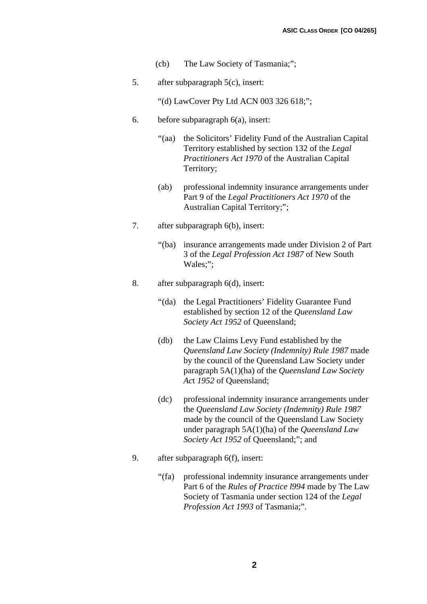- (cb) The Law Society of Tasmania;";
- 5. after subparagraph 5(c), insert:
	- "(d) LawCover Pty Ltd ACN 003 326 618;";
- 6. before subparagraph 6(a), insert:
	- "(aa) the Solicitors' Fidelity Fund of the Australian Capital Territory established by section 132 of the *Legal Practitioners Act 1970* of the Australian Capital Territory;
	- (ab) professional indemnity insurance arrangements under Part 9 of the *Legal Practitioners Act 1970* of the Australian Capital Territory;";
- 7. after subparagraph 6(b), insert:
	- "(ba) insurance arrangements made under Division 2 of Part 3 of the *Legal Profession Act 1987* of New South Wales;";
- 8. after subparagraph 6(d), insert:
	- "(da) the Legal Practitioners' Fidelity Guarantee Fund established by section 12 of the *Queensland Law Society Act 1952* of Queensland;
	- (db) the Law Claims Levy Fund established by the *Queensland Law Society (Indemnity) Rule 1987* made by the council of the Queensland Law Society under paragraph 5A(1)(ha) of the *Queensland Law Society Ac*t *1952* of Queensland;
	- (dc) professional indemnity insurance arrangements under the *Queensland Law Society (Indemnity) Rule 1987*  made by the council of the Queensland Law Society under paragraph 5A(1)(ha) of the *Queensland Law Society Act 1952* of Queensland;"; and
- 9. after subparagraph 6(f), insert:
	- "(fa) professional indemnity insurance arrangements under Part 6 of the *Rules of Practice l994* made by The Law Society of Tasmania under section 124 of the *Legal Profession Act 1993* of Tasmania;".